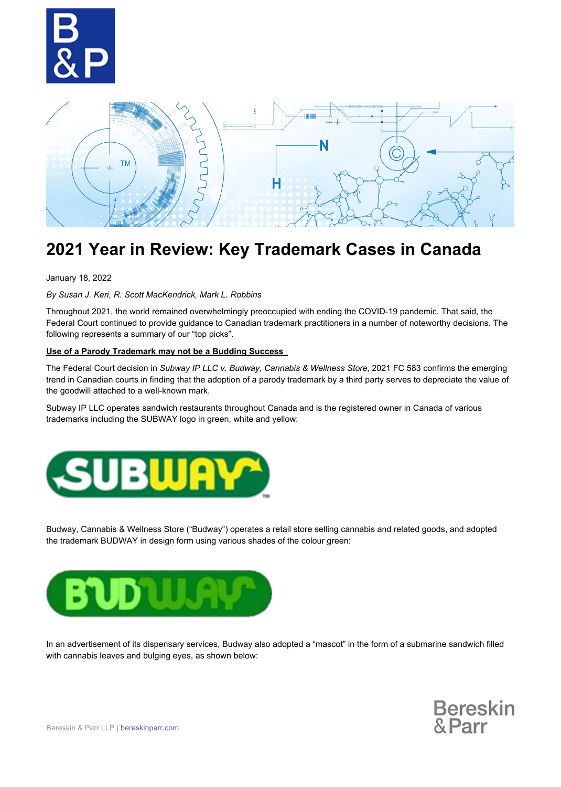



# **2021 Year in Review: Key Trademark Cases in Canada**

January 18, 2022

*By Susan J. Keri, R. Scott MacKendrick, Mark L. Robbins* 

Throughout 2021, the world remained overwhelmingly preoccupied with ending the COVID-19 pandemic. That said, the Federal Court continued to provide guidance to Canadian trademark practitioners in a number of noteworthy decisions. The following represents a summary of our "top picks".

#### **Use of a Parody Trademark may not be a Budding Success**

The Federal Court decision in *Subway IP LLC v. Budway, Cannabis & Wellness Store*, 2021 FC 583 confirms the emerging trend in Canadian courts in finding that the adoption of a parody trademark by a third party serves to depreciate the value of the goodwill attached to a well-known mark.

Subway IP LLC operates sandwich restaurants throughout Canada and is the registered owner in Canada of various trademarks including the SUBWAY logo in green, white and yellow:



Budway, Cannabis & Wellness Store ("Budway") operates a retail store selling cannabis and related goods, and adopted the trademark BUDWAY in design form using various shades of the colour green:



In an advertisement of its dispensary services, Budway also adopted a "mascot" in the form of a submarine sandwich filled with cannabis leaves and bulging eyes, as shown below:

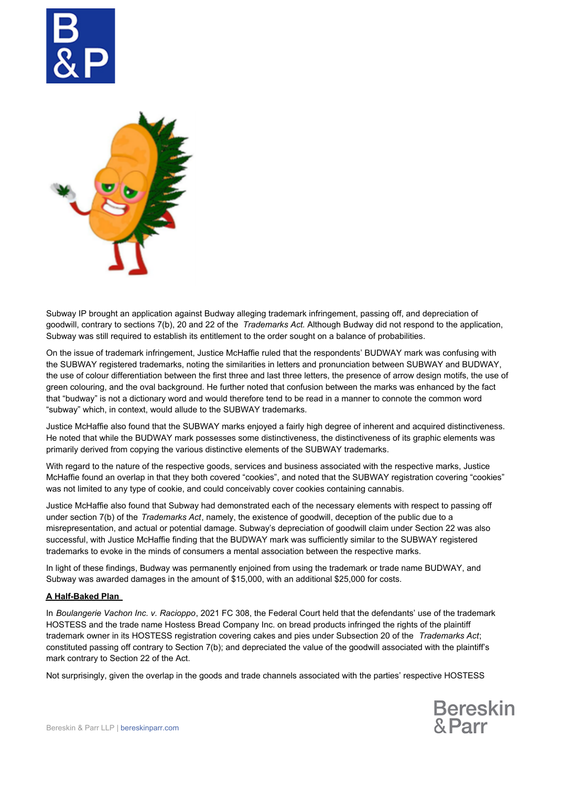



Subway IP brought an application against Budway alleging trademark infringement, passing off, and depreciation of goodwill, contrary to sections 7(b), 20 and 22 of the *Trademarks Act.* Although Budway did not respond to the application, Subway was still required to establish its entitlement to the order sought on a balance of probabilities.

On the issue of trademark infringement, Justice McHaffie ruled that the respondents' BUDWAY mark was confusing with the SUBWAY registered trademarks, noting the similarities in letters and pronunciation between SUBWAY and BUDWAY, the use of colour differentiation between the first three and last three letters, the presence of arrow design motifs, the use of green colouring, and the oval background. He further noted that confusion between the marks was enhanced by the fact that "budway" is not a dictionary word and would therefore tend to be read in a manner to connote the common word "subway" which, in context, would allude to the SUBWAY trademarks.

Justice McHaffie also found that the SUBWAY marks enjoyed a fairly high degree of inherent and acquired distinctiveness. He noted that while the BUDWAY mark possesses some distinctiveness, the distinctiveness of its graphic elements was primarily derived from copying the various distinctive elements of the SUBWAY trademarks.

With regard to the nature of the respective goods, services and business associated with the respective marks, Justice McHaffie found an overlap in that they both covered "cookies", and noted that the SUBWAY registration covering "cookies" was not limited to any type of cookie, and could conceivably cover cookies containing cannabis.

Justice McHaffie also found that Subway had demonstrated each of the necessary elements with respect to passing off under section 7(b) of the *Trademarks Act*, namely, the existence of goodwill, deception of the public due to a misrepresentation, and actual or potential damage. Subway's depreciation of goodwill claim under Section 22 was also successful, with Justice McHaffie finding that the BUDWAY mark was sufficiently similar to the SUBWAY registered trademarks to evoke in the minds of consumers a mental association between the respective marks.

In light of these findings, Budway was permanently enjoined from using the trademark or trade name BUDWAY, and Subway was awarded damages in the amount of \$15,000, with an additional \$25,000 for costs.

## **A Half-Baked Plan**

In *Boulangerie Vachon Inc. v. Racioppo*, 2021 FC 308, the Federal Court held that the defendants' use of the trademark HOSTESS and the trade name Hostess Bread Company Inc. on bread products infringed the rights of the plaintiff trademark owner in its HOSTESS registration covering cakes and pies under Subsection 20 of the *Trademarks Act*; constituted passing off contrary to Section 7(b); and depreciated the value of the goodwill associated with the plaintiff's mark contrary to Section 22 of the Act.

Not surprisingly, given the overlap in the goods and trade channels associated with the parties' respective HOSTESS

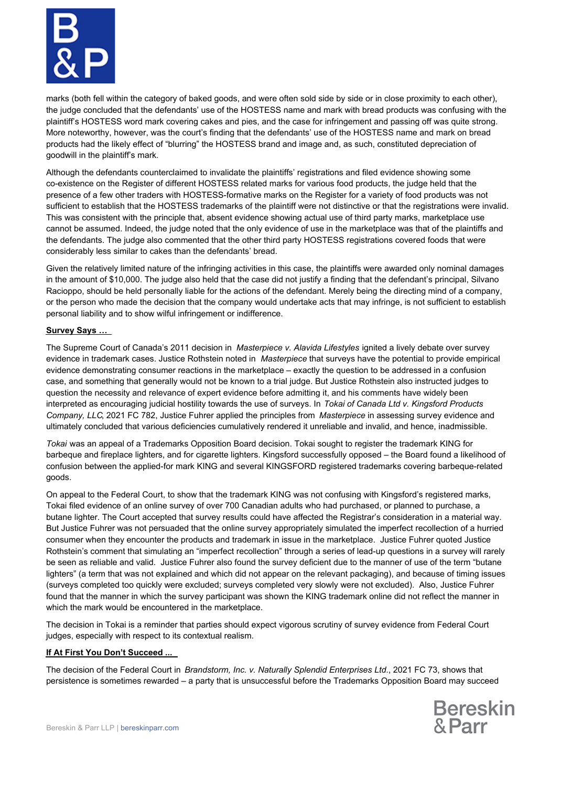

marks (both fell within the category of baked goods, and were often sold side by side or in close proximity to each other), the judge concluded that the defendants' use of the HOSTESS name and mark with bread products was confusing with the plaintiff's HOSTESS word mark covering cakes and pies, and the case for infringement and passing off was quite strong. More noteworthy, however, was the court's finding that the defendants' use of the HOSTESS name and mark on bread products had the likely effect of "blurring" the HOSTESS brand and image and, as such, constituted depreciation of goodwill in the plaintiff's mark.

Although the defendants counterclaimed to invalidate the plaintiffs' registrations and filed evidence showing some co-existence on the Register of different HOSTESS related marks for various food products, the judge held that the presence of a few other traders with HOSTESS-formative marks on the Register for a variety of food products was not sufficient to establish that the HOSTESS trademarks of the plaintiff were not distinctive or that the registrations were invalid. This was consistent with the principle that, absent evidence showing actual use of third party marks, marketplace use cannot be assumed. Indeed, the judge noted that the only evidence of use in the marketplace was that of the plaintiffs and the defendants. The judge also commented that the other third party HOSTESS registrations covered foods that were considerably less similar to cakes than the defendants' bread.

Given the relatively limited nature of the infringing activities in this case, the plaintiffs were awarded only nominal damages in the amount of \$10,000. The judge also held that the case did not justify a finding that the defendant's principal, Silvano Racioppo, should be held personally liable for the actions of the defendant. Merely being the directing mind of a company, or the person who made the decision that the company would undertake acts that may infringe, is not sufficient to establish personal liability and to show wilful infringement or indifference.

#### **Survey Says …**

The Supreme Court of Canada's 2011 decision in *Masterpiece v. Alavida Lifestyles* ignited a lively debate over survey evidence in trademark cases. Justice Rothstein noted in *Masterpiece* that surveys have the potential to provide empirical evidence demonstrating consumer reactions in the marketplace – exactly the question to be addressed in a confusion case, and something that generally would not be known to a trial judge. But Justice Rothstein also instructed judges to question the necessity and relevance of expert evidence before admitting it, and his comments have widely been interpreted as encouraging judicial hostility towards the use of surveys. In *Tokai of Canada Ltd v. Kingsford Products Company, LLC*, 2021 FC 782, Justice Fuhrer applied the principles from *Masterpiece* in assessing survey evidence and ultimately concluded that various deficiencies cumulatively rendered it unreliable and invalid, and hence, inadmissible.

*Tokai* was an appeal of a Trademarks Opposition Board decision. Tokai sought to register the trademark KING for barbeque and fireplace lighters, and for cigarette lighters. Kingsford successfully opposed – the Board found a likelihood of confusion between the applied-for mark KING and several KINGSFORD registered trademarks covering barbeque-related goods.

On appeal to the Federal Court, to show that the trademark KING was not confusing with Kingsford's registered marks, Tokai filed evidence of an online survey of over 700 Canadian adults who had purchased, or planned to purchase, a butane lighter. The Court accepted that survey results could have affected the Registrar's consideration in a material way. But Justice Fuhrer was not persuaded that the online survey appropriately simulated the imperfect recollection of a hurried consumer when they encounter the products and trademark in issue in the marketplace. Justice Fuhrer quoted Justice Rothstein's comment that simulating an "imperfect recollection" through a series of lead-up questions in a survey will rarely be seen as reliable and valid. Justice Fuhrer also found the survey deficient due to the manner of use of the term "butane lighters" (a term that was not explained and which did not appear on the relevant packaging), and because of timing issues (surveys completed too quickly were excluded; surveys completed very slowly were not excluded). Also, Justice Fuhrer found that the manner in which the survey participant was shown the KING trademark online did not reflect the manner in which the mark would be encountered in the marketplace.

The decision in Tokai is a reminder that parties should expect vigorous scrutiny of survey evidence from Federal Court judges, especially with respect to its contextual realism.

## **If At First You Don't Succeed ...**

The decision of the Federal Court in *Brandstorm, Inc. v. Naturally Splendid Enterprises Ltd*., 2021 FC 73, shows that persistence is sometimes rewarded – a party that is unsuccessful before the Trademarks Opposition Board may succeed

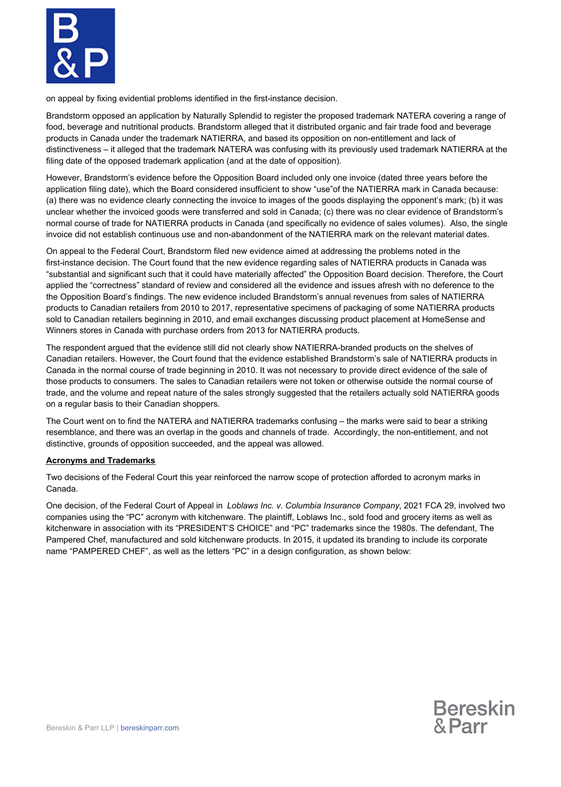

on appeal by fixing evidential problems identified in the first-instance decision.

Brandstorm opposed an application by Naturally Splendid to register the proposed trademark NATERA covering a range of food, beverage and nutritional products. Brandstorm alleged that it distributed organic and fair trade food and beverage products in Canada under the trademark NATIERRA, and based its opposition on non-entitlement and lack of distinctiveness – it alleged that the trademark NATERA was confusing with its previously used trademark NATIERRA at the filing date of the opposed trademark application (and at the date of opposition).

However, Brandstorm's evidence before the Opposition Board included only one invoice (dated three years before the application filing date), which the Board considered insufficient to show "use"of the NATIERRA mark in Canada because: (a) there was no evidence clearly connecting the invoice to images of the goods displaying the opponent's mark; (b) it was unclear whether the invoiced goods were transferred and sold in Canada; (c) there was no clear evidence of Brandstorm's normal course of trade for NATIERRA products in Canada (and specifically no evidence of sales volumes). Also, the single invoice did not establish continuous use and non-abandonment of the NATIERRA mark on the relevant material dates.

On appeal to the Federal Court, Brandstorm filed new evidence aimed at addressing the problems noted in the first-instance decision. The Court found that the new evidence regarding sales of NATIERRA products in Canada was "substantial and significant such that it could have materially affected" the Opposition Board decision. Therefore, the Court applied the "correctness" standard of review and considered all the evidence and issues afresh with no deference to the the Opposition Board's findings. The new evidence included Brandstorm's annual revenues from sales of NATIERRA products to Canadian retailers from 2010 to 2017, representative specimens of packaging of some NATIERRA products sold to Canadian retailers beginning in 2010, and email exchanges discussing product placement at HomeSense and Winners stores in Canada with purchase orders from 2013 for NATIERRA products.

The respondent argued that the evidence still did not clearly show NATIERRA-branded products on the shelves of Canadian retailers. However, the Court found that the evidence established Brandstorm's sale of NATIERRA products in Canada in the normal course of trade beginning in 2010. It was not necessary to provide direct evidence of the sale of those products to consumers. The sales to Canadian retailers were not token or otherwise outside the normal course of trade, and the volume and repeat nature of the sales strongly suggested that the retailers actually sold NATIERRA goods on a regular basis to their Canadian shoppers.

The Court went on to find the NATERA and NATIERRA trademarks confusing – the marks were said to bear a striking resemblance, and there was an overlap in the goods and channels of trade. Accordingly, the non-entitlement, and not distinctive, grounds of opposition succeeded, and the appeal was allowed.

#### **Acronyms and Trademarks**

Two decisions of the Federal Court this year reinforced the narrow scope of protection afforded to acronym marks in Canada.

One decision, of the Federal Court of Appeal in *Loblaws Inc. v. Columbia Insurance Company*, 2021 FCA 29, involved two companies using the "PC" acronym with kitchenware. The plaintiff, Loblaws Inc., sold food and grocery items as well as kitchenware in association with its "PRESIDENT'S CHOICE" and "PC" trademarks since the 1980s. The defendant, The Pampered Chef, manufactured and sold kitchenware products. In 2015, it updated its branding to include its corporate name "PAMPERED CHEF", as well as the letters "PC" in a design configuration, as shown below: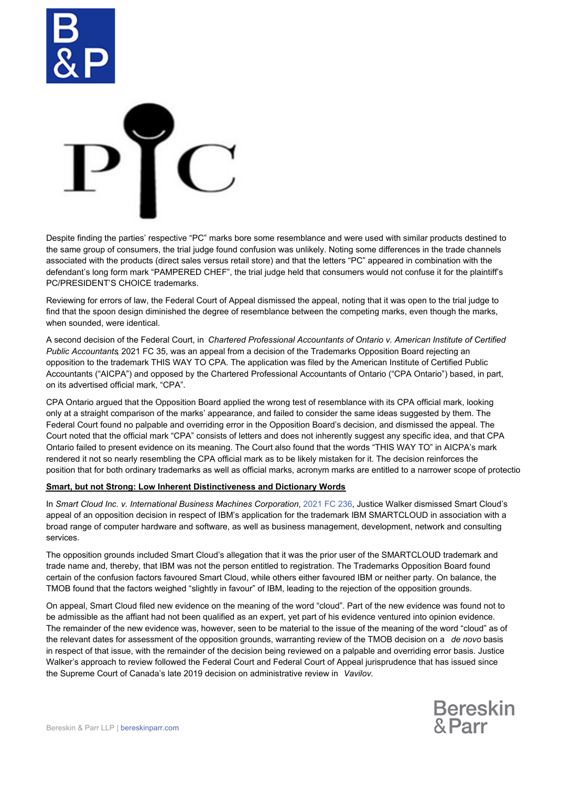



Despite finding the parties' respective "PC" marks bore some resemblance and were used with similar products destined to the same group of consumers, the trial judge found confusion was unlikely. Noting some differences in the trade channels associated with the products (direct sales versus retail store) and that the letters "PC" appeared in combination with the defendant's long form mark "PAMPERED CHEF", the trial judge held that consumers would not confuse it for the plaintiff's PC/PRESIDENT'S CHOICE trademarks.

Reviewing for errors of law, the Federal Court of Appeal dismissed the appeal, noting that it was open to the trial judge to find that the spoon design diminished the degree of resemblance between the competing marks, even though the marks, when sounded, were identical.

A second decision of the Federal Court, in *Chartered Professional Accountants of Ontario v. American Institute of Certified Public Accountants*, 2021 FC 35, was an appeal from a decision of the Trademarks Opposition Board rejecting an opposition to the trademark THIS WAY TO CPA. The application was filed by the American Institute of Certified Public Accountants ("AICPA") and opposed by the Chartered Professional Accountants of Ontario ("CPA Ontario") based, in part, on its advertised official mark, "CPA".

CPA Ontario argued that the Opposition Board applied the wrong test of resemblance with its CPA official mark, looking only at a straight comparison of the marks' appearance, and failed to consider the same ideas suggested by them. The Federal Court found no palpable and overriding error in the Opposition Board's decision, and dismissed the appeal. The Court noted that the official mark "CPA" consists of letters and does not inherently suggest any specific idea, and that CPA Ontario failed to present evidence on its meaning. The Court also found that the words "THIS WAY TO" in AICPA's mark rendered it not so nearly resembling the CPA official mark as to be likely mistaken for it. The decision reinforces the position that for both ordinary trademarks as well as official marks, acronym marks are entitled to a narrower scope of protectio

#### **Smart, but not Strong: Low Inherent Distinctiveness and Dictionary Words**

In *Smart Cloud Inc. v. International Business Machines Corporation*, [2021 FC 236](https://www.canlii.org/en/ca/fct/doc/2021/2021fc236/2021fc236.html?autocompleteStr=smart%20cloud&autocompletePos=2), Justice Walker dismissed Smart Cloud's appeal of an opposition decision in respect of IBM's application for the trademark IBM SMARTCLOUD in association with a broad range of computer hardware and software, as well as business management, development, network and consulting services.

The opposition grounds included Smart Cloud's allegation that it was the prior user of the SMARTCLOUD trademark and trade name and, thereby, that IBM was not the person entitled to registration. The Trademarks Opposition Board found certain of the confusion factors favoured Smart Cloud, while others either favoured IBM or neither party. On balance, the TMOB found that the factors weighed "slightly in favour" of IBM, leading to the rejection of the opposition grounds.

On appeal, Smart Cloud filed new evidence on the meaning of the word "cloud". Part of the new evidence was found not to be admissible as the affiant had not been qualified as an expert, yet part of his evidence ventured into opinion evidence. The remainder of the new evidence was, however, seen to be material to the issue of the meaning of the word "cloud" as of the relevant dates for assessment of the opposition grounds, warranting review of the TMOB decision on a *de novo* basis in respect of that issue, with the remainder of the decision being reviewed on a palpable and overriding error basis. Justice Walker's approach to review followed the Federal Court and Federal Court of Appeal jurisprudence that has issued since the Supreme Court of Canada's late 2019 decision on administrative review in *Vavilov.*

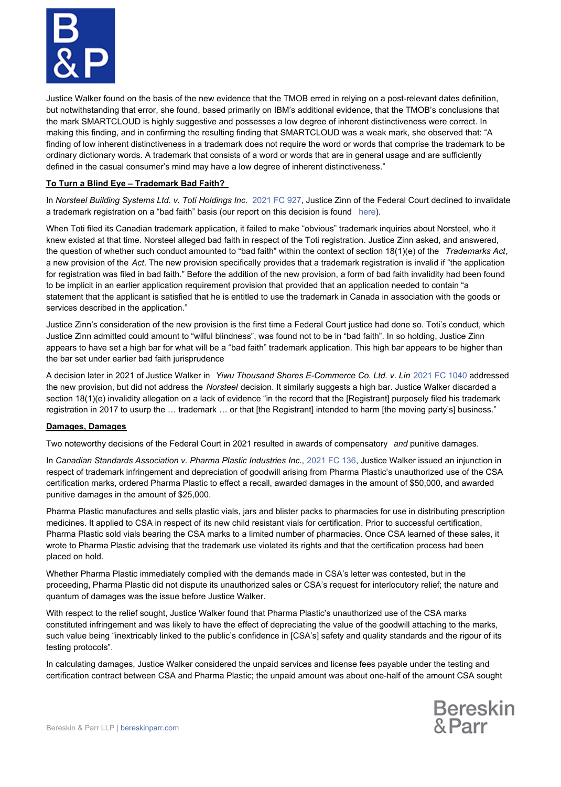

Justice Walker found on the basis of the new evidence that the TMOB erred in relying on a post-relevant dates definition, but notwithstanding that error, she found, based primarily on IBM's additional evidence, that the TMOB's conclusions that the mark SMARTCLOUD is highly suggestive and possesses a low degree of inherent distinctiveness were correct. In making this finding, and in confirming the resulting finding that SMARTCLOUD was a weak mark, she observed that: "A finding of low inherent distinctiveness in a trademark does not require the word or words that comprise the trademark to be ordinary dictionary words. A trademark that consists of a word or words that are in general usage and are sufficiently defined in the casual consumer's mind may have a low degree of inherent distinctiveness."

### **To Turn a Blind Eye – Trademark Bad Faith?**

In *Norsteel Building Systems Ltd. v. Toti Holdings Inc.* [2021 FC 927](https://www.canlii.org/en/ca/fct/doc/2021/2021fc927/2021fc927.html?autocompleteStr=norsteel%20&autocompletePos=1), Justice Zinn of the Federal Court declined to invalidate a trademark registration on a "bad faith" basis (our report on this decision is found [here](https://bereskinparr.com/doc/trademark-bad-faith-considered-by-the-federal-court)).

When Toti filed its Canadian trademark application, it failed to make "obvious" trademark inquiries about Norsteel, who it knew existed at that time. Norsteel alleged bad faith in respect of the Toti registration. Justice Zinn asked, and answered, the question of whether such conduct amounted to "bad faith" within the context of section 18(1)(e) of the *Trademarks Act*, a new provision of the *Act*. The new provision specifically provides that a trademark registration is invalid if "the application for registration was filed in bad faith." Before the addition of the new provision, a form of bad faith invalidity had been found to be implicit in an earlier application requirement provision that provided that an application needed to contain "a statement that the applicant is satisfied that he is entitled to use the trademark in Canada in association with the goods or services described in the application."

Justice Zinn's consideration of the new provision is the first time a Federal Court justice had done so. Toti's conduct, which Justice Zinn admitted could amount to "wilful blindness", was found not to be in "bad faith". In so holding, Justice Zinn appears to have set a high bar for what will be a "bad faith" trademark application. This high bar appears to be higher than the bar set under earlier bad faith jurisprudence *.*

A decision later in 2021 of Justice Walker in *Yiwu Thousand Shores E-Commerce Co. Ltd. v. Lin* [2021 FC 1040](https://www.canlii.org/en/ca/fct/doc/2021/2021fc1040/2021fc1040.html?searchUrlHash=AAAAAQAnIjE4KDEpKGUpIiAiVHJhZGVtYXJrcyBBY3QiICJiYWQgZmFpdGgiAAAAAAE&resultIndex=2) addressed the new provision, but did not address the *Norsteel* decision. It similarly suggests a high bar. Justice Walker discarded a section 18(1)(e) invalidity allegation on a lack of evidence "in the record that the [Registrant] purposely filed his trademark registration in 2017 to usurp the … trademark … or that [the Registrant] intended to harm [the moving party's] business."

#### **Damages, Damages**

Two noteworthy decisions of the Federal Court in 2021 resulted in awards of compensatory *and* punitive damages.

In *Canadian Standards Association v. Pharma Plastic Industries Inc*., [2021 FC 136](https://www.canlii.org/en/ca/fct/doc/2021/2021fc136/2021fc136.html?autocompleteStr=Canadian%20standards%20association%20phar&autocompletePos=1), Justice Walker issued an injunction in respect of trademark infringement and depreciation of goodwill arising from Pharma Plastic's unauthorized use of the CSA certification marks, ordered Pharma Plastic to effect a recall, awarded damages in the amount of \$50,000, and awarded punitive damages in the amount of \$25,000.

Pharma Plastic manufactures and sells plastic vials, jars and blister packs to pharmacies for use in distributing prescription medicines. It applied to CSA in respect of its new child resistant vials for certification. Prior to successful certification, Pharma Plastic sold vials bearing the CSA marks to a limited number of pharmacies. Once CSA learned of these sales, it wrote to Pharma Plastic advising that the trademark use violated its rights and that the certification process had been placed on hold.

Whether Pharma Plastic immediately complied with the demands made in CSA's letter was contested, but in the proceeding, Pharma Plastic did not dispute its unauthorized sales or CSA's request for interlocutory relief; the nature and quantum of damages was the issue before Justice Walker.

With respect to the relief sought, Justice Walker found that Pharma Plastic's unauthorized use of the CSA marks constituted infringement and was likely to have the effect of depreciating the value of the goodwill attaching to the marks, such value being "inextricably linked to the public's confidence in [CSA's] safety and quality standards and the rigour of its testing protocols".

In calculating damages, Justice Walker considered the unpaid services and license fees payable under the testing and certification contract between CSA and Pharma Plastic; the unpaid amount was about one-half of the amount CSA sought

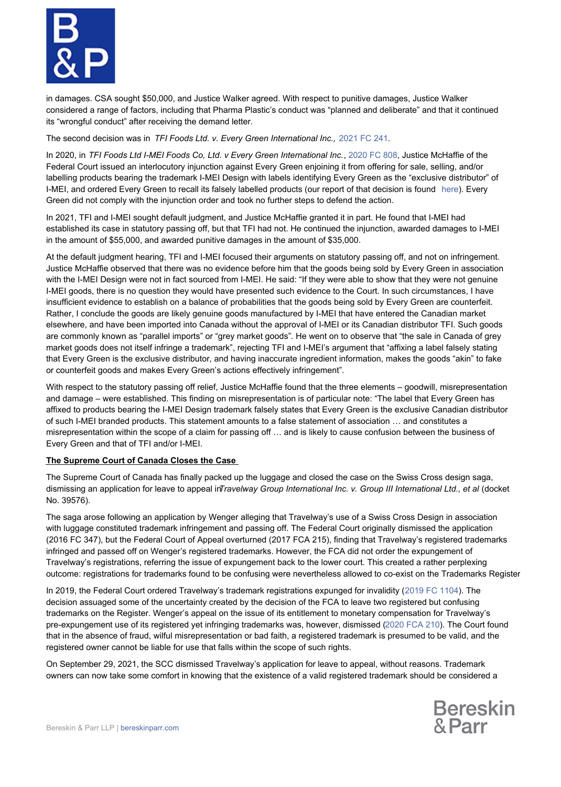

in damages. CSA sought \$50,000, and Justice Walker agreed. With respect to punitive damages, Justice Walker considered a range of factors, including that Pharma Plastic's conduct was "planned and deliberate" and that it continued its "wrongful conduct" after receiving the demand letter.

The second decision was in *TFI Foods Ltd. v. Every Green International Inc.,* [2021 FC 241](https://www.canlii.org/en/ca/fct/doc/2021/2021fc241/2021fc241.html?autocompleteStr=TFI%20Fo&autocompletePos=2).

In 2020, in *TFI Foods Ltd I-MEI Foods Co, Ltd. v Every Green International Inc.*, [2020 FC 808](https://www.canlii.org/en/ca/fct/doc/2020/2020fc808/2020fc808.html), Justice McHaffie of the Federal Court issued an interlocutory injunction against Every Green enjoining it from offering for sale, selling, and/or labelling products bearing the trademark I-MEI Design with labels identifying Every Green as the "exclusive distributor" of I-MEI, and ordered Every Green to recall its falsely labelled products (our report of that decision is found [here](https://bereskinparr.com/doc/interlocutory-injunctions-rare-but-not-extinct)). Every Green did not comply with the injunction order and took no further steps to defend the action.

In 2021, TFI and I-MEI sought default judgment, and Justice McHaffie granted it in part. He found that I-MEI had established its case in statutory passing off, but that TFI had not. He continued the injunction, awarded damages to I-MEI in the amount of \$55,000, and awarded punitive damages in the amount of \$35,000.

At the default judgment hearing, TFI and I-MEI focused their arguments on statutory passing off, and not on infringement. Justice McHaffie observed that there was no evidence before him that the goods being sold by Every Green in association with the I-MEI Design were not in fact sourced from I-MEI. He said: "If they were able to show that they were not genuine I-MEI goods, there is no question they would have presented such evidence to the Court. In such circumstances, I have insufficient evidence to establish on a balance of probabilities that the goods being sold by Every Green are counterfeit. Rather, I conclude the goods are likely genuine goods manufactured by I-MEI that have entered the Canadian market elsewhere, and have been imported into Canada without the approval of I-MEI or its Canadian distributor TFI. Such goods are commonly known as "parallel imports" or "grey market goods". He went on to observe that "the sale in Canada of grey market goods does not itself infringe a trademark", rejecting TFI and I-MEI's argument that "affixing a label falsely stating that Every Green is the exclusive distributor, and having inaccurate ingredient information, makes the goods "akin" to fake or counterfeit goods and makes Every Green's actions effectively infringement".

With respect to the statutory passing off relief, Justice McHaffie found that the three elements – goodwill, misrepresentation and damage – were established. This finding on misrepresentation is of particular note: "The label that Every Green has affixed to products bearing the I-MEI Design trademark falsely states that Every Green is the exclusive Canadian distributor of such I-MEI branded products. This statement amounts to a false statement of association … and constitutes a misrepresentation within the scope of a claim for passing off … and is likely to cause confusion between the business of Every Green and that of TFI and/or I-MEI.

## **The Supreme Court of Canada Closes the Case**

The Supreme Court of Canada has finally packed up the luggage and closed the case on the Swiss Cross design saga, dismissing an application for leave to appeal in*Travelway Group International Inc. v. Group III International Ltd., et al (docket* No. 39576).

The saga arose following an application by Wenger alleging that Travelway's use of a Swiss Cross Design in association with luggage constituted trademark infringement and passing off. The Federal Court originally dismissed the application (2016 FC 347), but the Federal Court of Appeal overturned (2017 FCA 215), finding that Travelway's registered trademarks infringed and passed off on Wenger's registered trademarks. However, the FCA did not order the expungement of Travelway's registrations, referring the issue of expungement back to the lower court. This created a rather perplexing outcome: registrations for trademarks found to be confusing were nevertheless allowed to co-exist on the Trademarks Register.

In 2019, the Federal Court ordered Travelway's trademark registrations expunged for invalidity ([2019 FC 1104](https://protect-eu.mimecast.com/s/2P6PCgR5ulxnm5h3F0jq)). The decision assuaged some of the uncertainty created by the decision of the FCA to leave two registered but confusing trademarks on the Register. Wenger's appeal on the issue of its entitlement to monetary compensation for Travelway's pre-expungement use of its registered yet infringing trademarks was, however, dismissed [\(2020 FCA 210](https://protect-eu.mimecast.com/s/0yW6C9J8smgPMVFEqHOU)). The Court found that in the absence of fraud, wilful misrepresentation or bad faith, a registered trademark is presumed to be valid, and the registered owner cannot be liable for use that falls within the scope of such rights.

On September 29, 2021, the SCC dismissed Travelway's application for leave to appeal, without reasons. Trademark owners can now take some comfort in knowing that the existence of a valid registered trademark should be considered a